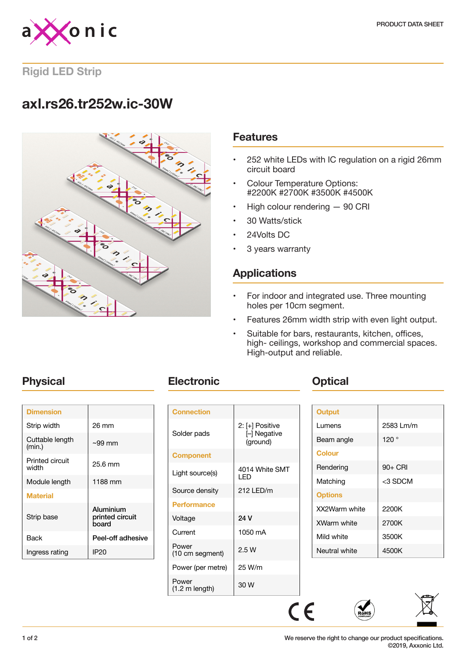

**Rigid LED Strip**

# **axl.rs26.tr252w.ic-30W**



### **Features**

- 252 white LEDs with IC regulation on a rigid 26mm circuit board
- Colour Temperature Options: #2200K #2700K #3500K #4500K
- High colour rendering 90 CRI
- 30 Watts/stick
- 24Volts DC
- 3 years warranty

### **Applications**

- For indoor and integrated use. Three mounting holes per 10cm segment.
- Features 26mm width strip with even light output.
- Suitable for bars, restaurants, kitchen, offices, high- ceilings, workshop and commercial spaces. High-output and reliable.

| <b>Dimension</b>                |                                       |
|---------------------------------|---------------------------------------|
| Strip width                     | 26 mm                                 |
| Cuttable length<br>(min.)       | $\sim$ 99 mm                          |
| <b>Printed circuit</b><br>width | 25.6 mm                               |
| Module length                   | 1188 mm                               |
| <b>Material</b>                 |                                       |
| Strip base                      | Aluminium<br>printed circuit<br>board |
| Back                            | Peel-off adhesive                     |
| Ingress rating                  | IP <sub>20</sub>                      |
|                                 |                                       |

## **Physical <b>Electronic Change Physical**

| <b>Connection</b>                 |                                             |
|-----------------------------------|---------------------------------------------|
| Solder pads                       | 2: [+] Positive<br>[-] Negative<br>(ground) |
| <b>Component</b>                  |                                             |
| Light source(s)                   | 4014 White SMT<br>I ED                      |
| Source density                    | 212 LED/m                                   |
| <b>Performance</b>                |                                             |
| Voltage                           | 24 V                                        |
| Current                           | 1050 mA                                     |
| Power<br>(10 cm segment)          | 2.5W                                        |
| Power (per metre)                 | 25 W/m                                      |
| Power<br>$(1.2 \text{ m length})$ | 30 W                                        |

| <b>Output</b>  |            |
|----------------|------------|
| Lumens         | 2583 Lm/m  |
| Beam angle     | 120°       |
| <b>Colour</b>  |            |
| Rendering      | $90+$ CRI  |
| Matching       | $<$ 3 SDCM |
| <b>Options</b> |            |
| XX2Warm white  | 2200K      |
| XWarm white    | 2700K      |
| Mild white     | 3500K      |
| Neutral white  | 4500K      |

 $C \in$